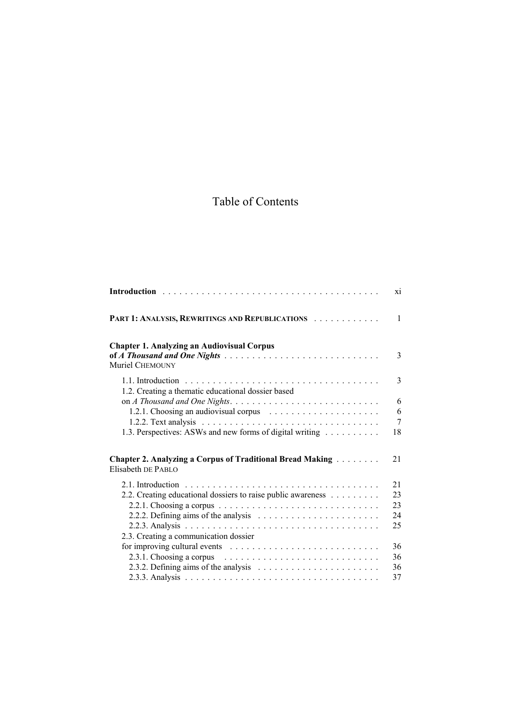## Table of Contents

|                                                                                                      | xi             |
|------------------------------------------------------------------------------------------------------|----------------|
| PART 1: ANALYSIS, REWRITINGS AND REPUBLICATIONS                                                      | $\mathbf{1}$   |
| <b>Chapter 1. Analyzing an Audiovisual Corpus</b><br>of A Thousand and One Nights<br>Muriel CHEMOUNY | 3              |
| 1.2. Creating a thematic educational dossier based                                                   | 3              |
|                                                                                                      | 6<br>6         |
|                                                                                                      | $\overline{7}$ |
| 1.3. Perspectives: ASWs and new forms of digital writing                                             | 18             |
| <b>Chapter 2. Analyzing a Corpus of Traditional Bread Making Albeman</b><br>Elisabeth DE PABLO       | 21             |
|                                                                                                      | 21             |
| 2.2. Creating educational dossiers to raise public awareness                                         | 23             |
| 2.2.1. Choosing a corpus $\ldots \ldots \ldots \ldots \ldots \ldots \ldots \ldots \ldots \ldots$     | 23             |
|                                                                                                      | 24             |
|                                                                                                      | 25             |
| 2.3. Creating a communication dossier                                                                |                |
|                                                                                                      | 36             |
|                                                                                                      | 36             |
|                                                                                                      | 36             |
|                                                                                                      | 37             |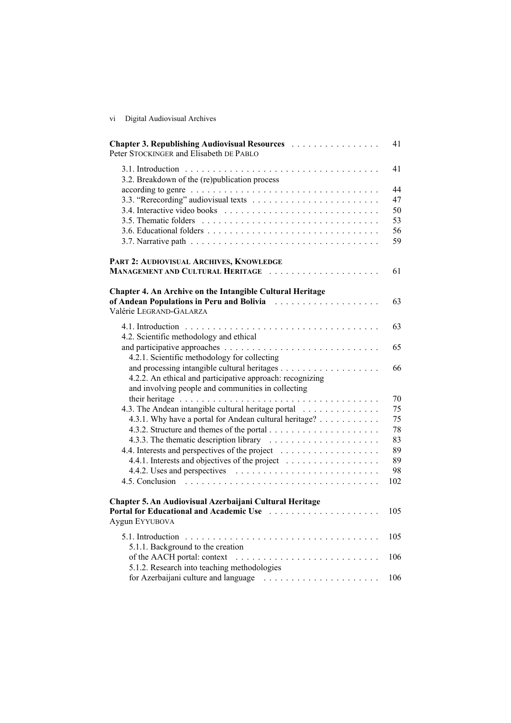vi Digital Audiovisual Archives

| <b>Chapter 3. Republishing Audiovisual Resources</b><br>Peter STOCKINGER and Elisabeth DE PABLO                 | 41  |
|-----------------------------------------------------------------------------------------------------------------|-----|
| 3.2. Breakdown of the (re)publication process                                                                   | 41  |
|                                                                                                                 | 44  |
|                                                                                                                 | 47  |
|                                                                                                                 | 50  |
|                                                                                                                 | 53  |
|                                                                                                                 | 56  |
|                                                                                                                 | 59  |
| PART 2: AUDIOVISUAL ARCHIVES, KNOWLEDGE                                                                         |     |
| MANAGEMENT AND CULTURAL HERITAGE                                                                                | 61  |
| Chapter 4. An Archive on the Intangible Cultural Heritage                                                       |     |
| of Andean Populations in Peru and Bolivia<br>Valérie LEGRAND-GALARZA                                            | 63  |
| 4.2. Scientific methodology and ethical                                                                         | 63  |
| 4.2.1. Scientific methodology for collecting                                                                    | 65  |
| 4.2.2. An ethical and participative approach: recognizing<br>and involving people and communities in collecting | 66  |
|                                                                                                                 | 70  |
| 4.3. The Andean intangible cultural heritage portal                                                             | 75  |
| 4.3.1. Why have a portal for Andean cultural heritage?                                                          | 75  |
|                                                                                                                 | 78  |
|                                                                                                                 | 83  |
|                                                                                                                 | 89  |
| 4.4.1. Interests and objectives of the project                                                                  | 89  |
| 4.4.2. Uses and perspectives $\ldots \ldots \ldots \ldots \ldots \ldots \ldots$                                 | 98  |
|                                                                                                                 | 102 |
| Chapter 5. An Audiovisual Azerbaijani Cultural Heritage                                                         |     |
| Portal for Educational and Academic Use<br>Aygun EYYUBOVA                                                       | 105 |
| 5.1.1. Background to the creation                                                                               | 105 |
|                                                                                                                 | 106 |
| 5.1.2. Research into teaching methodologies                                                                     |     |
| for Azerbaijani culture and language                                                                            | 106 |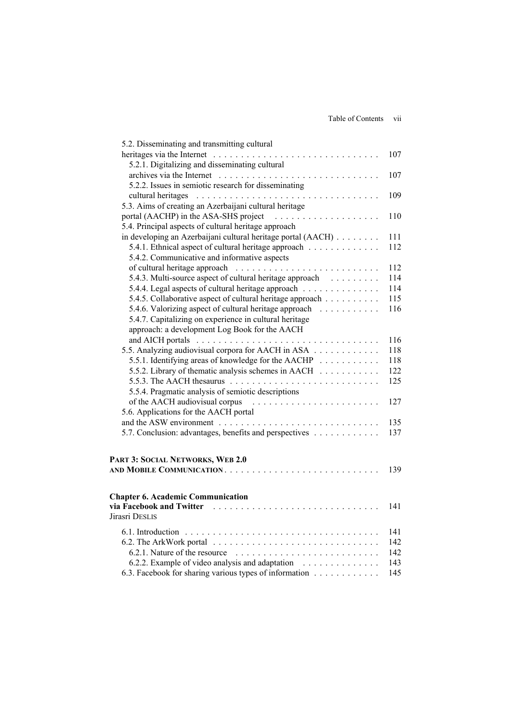| 5.2. Disseminating and transmitting cultural                                                                                             |     |
|------------------------------------------------------------------------------------------------------------------------------------------|-----|
|                                                                                                                                          | 107 |
| 5.2.1. Digitalizing and disseminating cultural                                                                                           |     |
|                                                                                                                                          | 107 |
| 5.2.2. Issues in semiotic research for disseminating                                                                                     |     |
|                                                                                                                                          | 109 |
| 5.3. Aims of creating an Azerbaijani cultural heritage                                                                                   |     |
| portal (AACHP) in the ASA-SHS project<br>.                                                                                               | 110 |
| 5.4. Principal aspects of cultural heritage approach                                                                                     |     |
| in developing an Azerbaijani cultural heritage portal (AACH)                                                                             | 111 |
| 5.4.1. Ethnical aspect of cultural heritage approach                                                                                     | 112 |
| 5.4.2. Communicative and informative aspects                                                                                             |     |
|                                                                                                                                          | 112 |
| 5.4.3. Multi-source aspect of cultural heritage approach                                                                                 | 114 |
| 5.4.4. Legal aspects of cultural heritage approach                                                                                       | 114 |
| 5.4.5. Collaborative aspect of cultural heritage approach                                                                                | 115 |
| 5.4.6. Valorizing aspect of cultural heritage approach                                                                                   | 116 |
| 5.4.7. Capitalizing on experience in cultural heritage                                                                                   |     |
| approach: a development Log Book for the AACH                                                                                            |     |
|                                                                                                                                          | 116 |
| 5.5. Analyzing audiovisual corpora for AACH in ASA                                                                                       | 118 |
| 5.5.1. Identifying areas of knowledge for the AACHP                                                                                      | 118 |
| 5.5.2. Library of thematic analysis schemes in AACH                                                                                      | 122 |
| 5.5.3. The AACH thesaurus $\ldots \ldots \ldots \ldots \ldots \ldots \ldots \ldots$                                                      | 125 |
| 5.5.4. Pragmatic analysis of semiotic descriptions                                                                                       |     |
|                                                                                                                                          | 127 |
| 5.6. Applications for the AACH portal                                                                                                    |     |
|                                                                                                                                          | 135 |
| 5.7. Conclusion: advantages, benefits and perspectives                                                                                   | 137 |
|                                                                                                                                          |     |
| PART 3: SOCIAL NETWORKS, WEB 2.0                                                                                                         |     |
|                                                                                                                                          | 139 |
|                                                                                                                                          |     |
| <b>Chapter 6. Academic Communication</b>                                                                                                 |     |
| via Facebook and Twitter (and the contract of the contract of the Facebook and Twitter (and the contract of the contract of the Facebook | 141 |
| Jirasri DESLIS                                                                                                                           |     |
|                                                                                                                                          | 141 |
|                                                                                                                                          | 142 |
|                                                                                                                                          | 142 |
| 6.2.2. Example of video analysis and adaptation                                                                                          | 143 |
| 6.3. Facebook for sharing various types of information                                                                                   | 145 |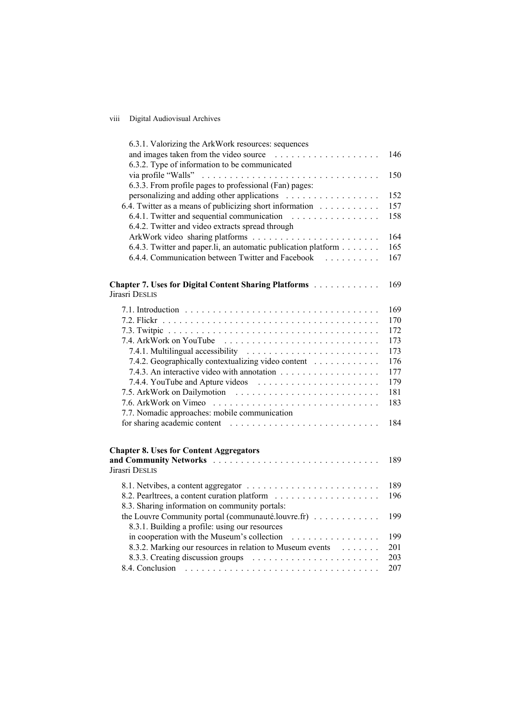## viii Digital Audiovisual Archives

| 6.3.1. Valorizing the ArkWork resources: sequences             |     |
|----------------------------------------------------------------|-----|
| and images taken from the video source                         | 146 |
| 6.3.2. Type of information to be communicated                  |     |
|                                                                | 150 |
| 6.3.3. From profile pages to professional (Fan) pages:         |     |
|                                                                | 152 |
| 6.4. Twitter as a means of publicizing short information       | 157 |
| 6.4.1. Twitter and sequential communication                    | 158 |
| 6.4.2. Twitter and video extracts spread through               |     |
|                                                                | 164 |
|                                                                | 165 |
| 6.4.3. Twitter and paper.li, an automatic publication platform |     |
| 6.4.4. Communication between Twitter and Facebook              | 167 |
|                                                                |     |
| <b>Chapter 7. Uses for Digital Content Sharing Platforms</b>   | 169 |
| Jirasri DESLIS                                                 |     |
|                                                                | 169 |
|                                                                | 170 |
|                                                                | 172 |
|                                                                | 173 |
|                                                                | 173 |
| 7.4.2. Geographically contextualizing video content            | 176 |
|                                                                | 177 |
|                                                                | 179 |
|                                                                | 181 |
|                                                                |     |
|                                                                | 183 |
| 7.7. Nomadic approaches: mobile communication                  |     |
|                                                                | 184 |
|                                                                |     |
| <b>Chapter 8. Uses for Content Aggregators</b>                 |     |
|                                                                | 189 |
| Jirasri DESLIS                                                 |     |
|                                                                | 189 |
|                                                                | 196 |
| 8.3. Sharing information on community portals:                 |     |
| the Louvre Community portal (communauté.louvre.fr)             | 199 |
|                                                                |     |
| 8.3.1. Building a profile: using our resources                 |     |
| in cooperation with the Museum's collection                    | 199 |
| 8.3.2. Marking our resources in relation to Museum events      | 201 |
|                                                                | 203 |
| 8.4. Conclusion                                                | 207 |